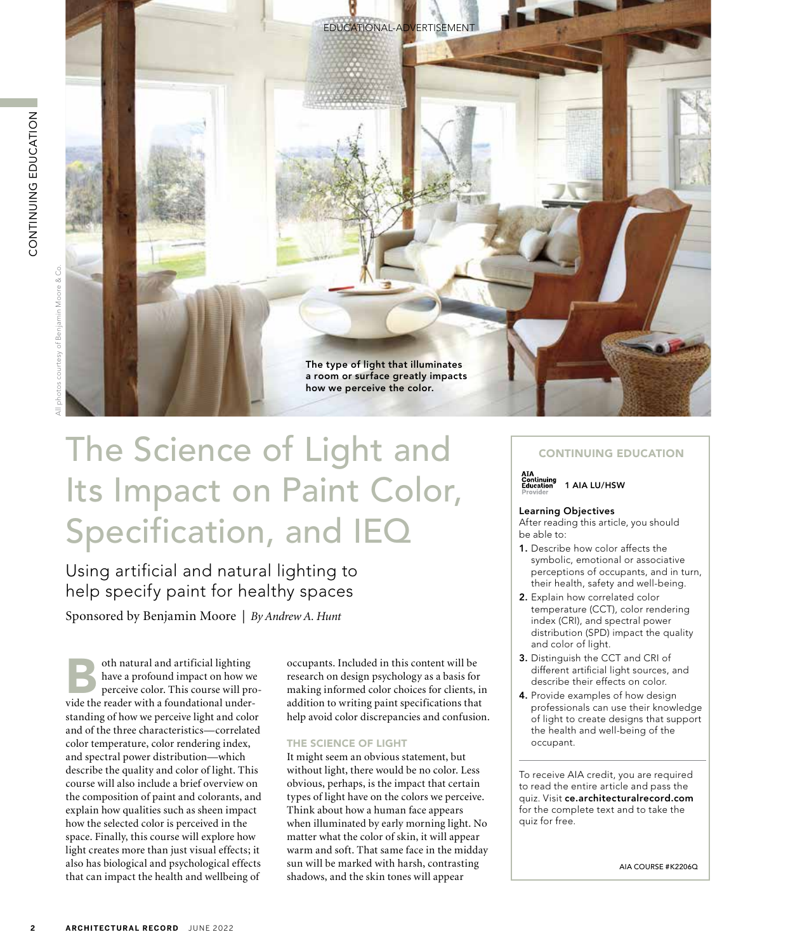

# The Science of Light and Its Impact on Paint Color, Specification, and IEQ

Using artificial and natural lighting to help specify paint for healthy spaces

Sponsored by Benjamin Moore | *By Andrew A. Hunt*

oth natural and artificial lighting<br>have a profound impact on how w<br>perceive color. This course will pr have a profound impact on how we perceive color. This course will provide the reader with a foundational understanding of how we perceive light and color and of the three characteristics—correlated color temperature, color rendering index, and spectral power distribution—which describe the quality and color of light. This course will also include a brief overview on the composition of paint and colorants, and explain how qualities such as sheen impact how the selected color is perceived in the space. Finally, this course will explore how light creates more than just visual effects; it also has biological and psychological effects that can impact the health and wellbeing of

occupants. Included in this content will be research on design psychology as a basis for making informed color choices for clients, in addition to writing paint specifications that help avoid color discrepancies and confusion.

#### THE SCIENCE OF LIGHT

It might seem an obvious statement, but without light, there would be no color. Less obvious, perhaps, is the impact that certain types of light have on the colors we perceive. Think about how a human face appears when illuminated by early morning light. No matter what the color of skin, it will appear warm and soft. That same face in the midday sun will be marked with harsh, contrasting shadows, and the skin tones will appear

#### CONTINUING EDUCATION



#### Learning Objectives

After reading this article, you should be able to:

- 1. Describe how color affects the symbolic, emotional or associative perceptions of occupants, and in turn, their health, safety and well-being.
- 2. Explain how correlated color temperature (CCT), color rendering index (CRI), and spectral power distribution (SPD) impact the quality and color of light.
- 3. Distinguish the CCT and CRI of different artificial light sources, and describe their effects on color.
- 4. Provide examples of how design professionals can use their knowledge of light to create designs that support the health and well-being of the occupant.

To receive AIA credit, you are required to read the entire article and pass the quiz. Visit ce.architecturalrecord.com for the complete text and to take the quiz for free.

AIA COURSE #K2206Q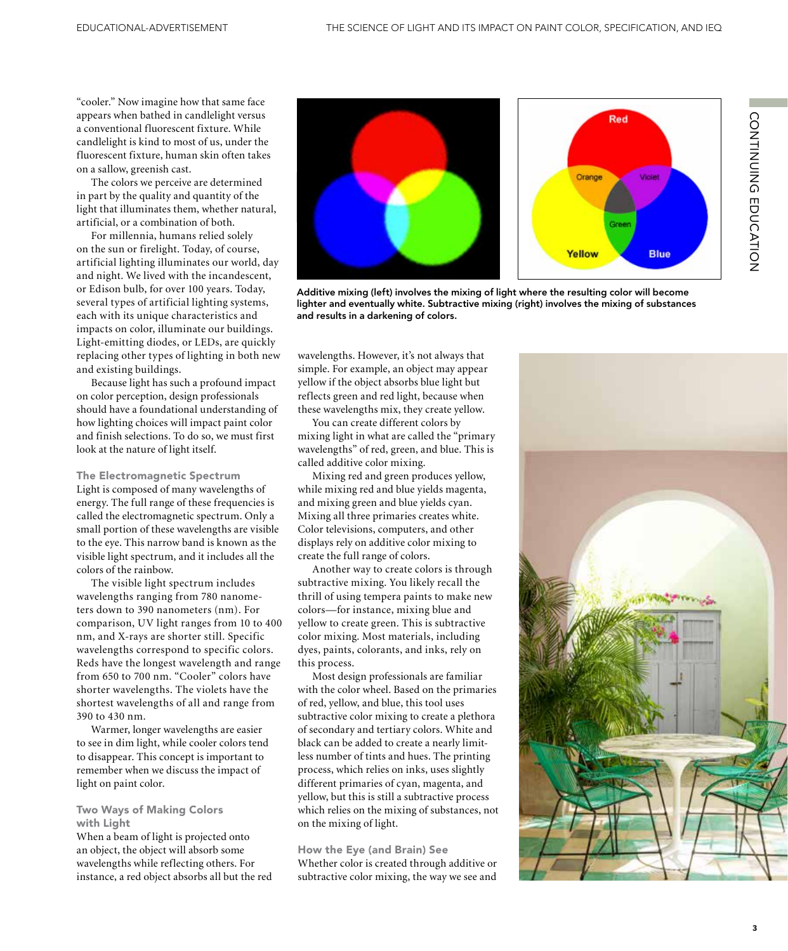"cooler." Now imagine how that same face appears when bathed in candlelight versus a conventional fluorescent fixture. While candlelight is kind to most of us, under the fluorescent fixture, human skin often takes on a sallow, greenish cast.

The colors we perceive are determined in part by the quality and quantity of the light that illuminates them, whether natural, artificial, or a combination of both.

For millennia, humans relied solely on the sun or firelight. Today, of course, artificial lighting illuminates our world, day and night. We lived with the incandescent, or Edison bulb, for over 100 years. Today, several types of artificial lighting systems, each with its unique characteristics and impacts on color, illuminate our buildings. Light-emitting diodes, or LEDs, are quickly replacing other types of lighting in both new and existing buildings.

Because light has such a profound impact on color perception, design professionals should have a foundational understanding of how lighting choices will impact paint color and finish selections. To do so, we must first look at the nature of light itself.

The Electromagnetic Spectrum Light is composed of many wavelengths of energy. The full range of these frequencies is called the electromagnetic spectrum. Only a small portion of these wavelengths are visible to the eye. This narrow band is known as the visible light spectrum, and it includes all the colors of the rainbow.

The visible light spectrum includes wavelengths ranging from 780 nanometers down to 390 nanometers (nm). For comparison, UV light ranges from 10 to 400 nm, and X-rays are shorter still. Specific wavelengths correspond to specific colors. Reds have the longest wavelength and range from 650 to 700 nm. "Cooler" colors have shorter wavelengths. The violets have the shortest wavelengths of all and range from 390 to 430 nm.

Warmer, longer wavelengths are easier to see in dim light, while cooler colors tend to disappear. This concept is important to remember when we discuss the impact of light on paint color.

#### Two Ways of Making Colors with Light

When a beam of light is projected onto an object, the object will absorb some wavelengths while reflecting others. For instance, a red object absorbs all but the red





CONTINUING EDUCATION

CONTINUING EDUCATION

Additive mixing (left) involves the mixing of light where the resulting color will become lighter and eventually white. Subtractive mixing (right) involves the mixing of substances and results in a darkening of colors.

wavelengths. However, it's not always that simple. For example, an object may appear yellow if the object absorbs blue light but reflects green and red light, because when these wavelengths mix, they create yellow.

You can create different colors by mixing light in what are called the "primary wavelengths" of red, green, and blue. This is called additive color mixing.

Mixing red and green produces yellow, while mixing red and blue yields magenta, and mixing green and blue yields cyan. Mixing all three primaries creates white. Color televisions, computers, and other displays rely on additive color mixing to create the full range of colors.

Another way to create colors is through subtractive mixing. You likely recall the thrill of using tempera paints to make new colors—for instance, mixing blue and yellow to create green. This is subtractive color mixing. Most materials, including dyes, paints, colorants, and inks, rely on this process.

Most design professionals are familiar with the color wheel. Based on the primaries of red, yellow, and blue, this tool uses subtractive color mixing to create a plethora of secondary and tertiary colors. White and black can be added to create a nearly limitless number of tints and hues. The printing process, which relies on inks, uses slightly different primaries of cyan, magenta, and yellow, but this is still a subtractive process which relies on the mixing of substances, not on the mixing of light.

How the Eye (and Brain) See Whether color is created through additive or subtractive color mixing, the way we see and

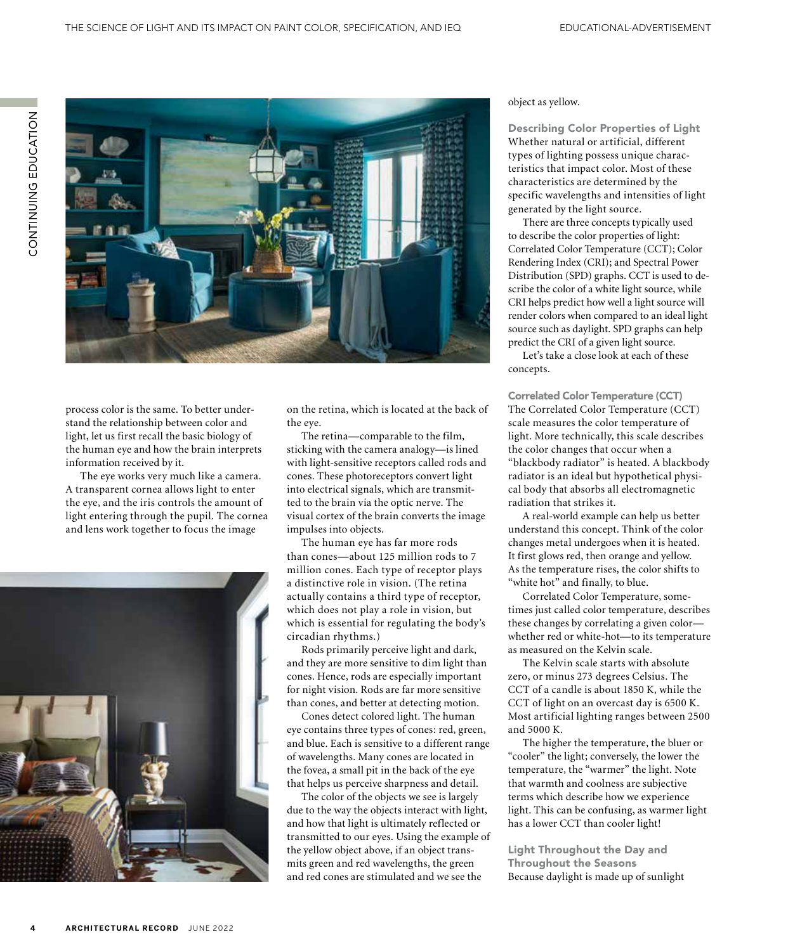

process color is the same. To better understand the relationship between color and light, let us first recall the basic biology of the human eye and how the brain interprets information received by it.

The eye works very much like a camera. A transparent cornea allows light to enter the eye, and the iris controls the amount of light entering through the pupil. The cornea and lens work together to focus the image



on the retina, which is located at the back of the eye.

The retina—comparable to the film, sticking with the camera analogy—is lined with light-sensitive receptors called rods and cones. These photoreceptors convert light into electrical signals, which are transmitted to the brain via the optic nerve. The visual cortex of the brain converts the image impulses into objects.

The human eye has far more rods than cones—about 125 million rods to 7 million cones. Each type of receptor plays a distinctive role in vision. (The retina actually contains a third type of receptor, which does not play a role in vision, but which is essential for regulating the body's circadian rhythms.)

Rods primarily perceive light and dark, and they are more sensitive to dim light than cones. Hence, rods are especially important for night vision. Rods are far more sensitive than cones, and better at detecting motion.

Cones detect colored light. The human eye contains three types of cones: red, green, and blue. Each is sensitive to a different range of wavelengths. Many cones are located in the fovea, a small pit in the back of the eye that helps us perceive sharpness and detail.

The color of the objects we see is largely due to the way the objects interact with light, and how that light is ultimately reflected or transmitted to our eyes. Using the example of the yellow object above, if an object transmits green and red wavelengths, the green and red cones are stimulated and we see the

object as yellow.

Describing Color Properties of Light Whether natural or artificial, different types of lighting possess unique characteristics that impact color. Most of these characteristics are determined by the specific wavelengths and intensities of light generated by the light source.

There are three concepts typically used to describe the color properties of light: Correlated Color Temperature (CCT); Color Rendering Index (CRI); and Spectral Power Distribution (SPD) graphs. CCT is used to describe the color of a white light source, while CRI helps predict how well a light source will render colors when compared to an ideal light source such as daylight. SPD graphs can help predict the CRI of a given light source.

Let's take a close look at each of these concepts.

Correlated Color Temperature (CCT) The Correlated Color Temperature (CCT) scale measures the color temperature of light. More technically, this scale describes the color changes that occur when a "blackbody radiator" is heated. A blackbody radiator is an ideal but hypothetical physical body that absorbs all electromagnetic radiation that strikes it.

A real-world example can help us better understand this concept. Think of the color changes metal undergoes when it is heated. It first glows red, then orange and yellow. As the temperature rises, the color shifts to "white hot" and finally, to blue.

Correlated Color Temperature, sometimes just called color temperature, describes these changes by correlating a given color whether red or white-hot-to its temperature as measured on the Kelvin scale.

The Kelvin scale starts with absolute zero, or minus 273 degrees Celsius. The CCT of a candle is about 1850 K, while the CCT of light on an overcast day is 6500 K. Most artificial lighting ranges between 2500 and 5000 K.

The higher the temperature, the bluer or "cooler" the light; conversely, the lower the temperature, the "warmer" the light. Note that warmth and coolness are subjective terms which describe how we experience light. This can be confusing, as warmer light has a lower CCT than cooler light!

Light Throughout the Day and Throughout the Seasons Because daylight is made up of sunlight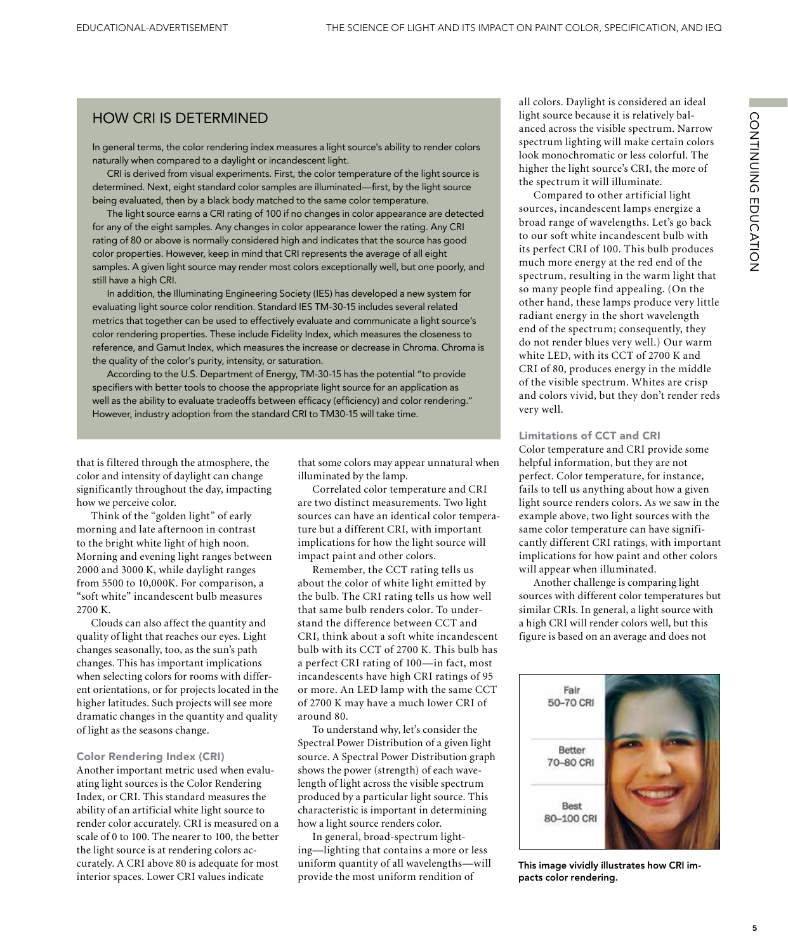## HOW CRI IS DETERMINED

In general terms, the color rendering index measures a light source's ability to render colors naturally when compared to a daylight or incandescent light.

CRI is derived from visual experiments. First, the color temperature of the light source is determined. Next, eight standard color samples are illuminated—first, by the light source being evaluated, then by a black body matched to the same color temperature.

The light source earns a CRI rating of 100 if no changes in color appearance are detected for any of the eight samples. Any changes in color appearance lower the rating. Any CRI rating of 80 or above is normally considered high and indicates that the source has good color properties. However, keep in mind that CRI represents the average of all eight samples. A given light source may render most colors exceptionally well, but one poorly, and still have a high CRI.

In addition, the Illuminating Engineering Society (IES) has developed a new system for evaluating light source color rendition. Standard IES TM-30-15 includes several related metrics that together can be used to effectively evaluate and communicate a light source's color rendering properties. These include Fidelity Index, which measures the closeness to reference, and Gamut Index, which measures the increase or decrease in Chroma. Chroma is the quality of the color's purity, intensity, or saturation.

According to the U.S. Department of Energy, TM-30-15 has the potential "to provide specifiers with better tools to choose the appropriate light source for an application as well as the ability to evaluate tradeoffs between efficacy (efficiency) and color rendering." However, industry adoption from the standard CRI to TM30-15 will take time.

that is filtered through the atmosphere, the color and intensity of daylight can change significantly throughout the day, impacting how we perceive color.

Think of the "golden light" of early morning and late afternoon in contrast to the bright white light of high noon. Morning and evening light ranges between 2000 and 3000 K, while daylight ranges from 5500 to 10,000K. For comparison, a "soft white" incandescent bulb measures 2700 K.

Clouds can also affect the quantity and quality of light that reaches our eyes. Light changes seasonally, too, as the sun's path changes. This has important implications when selecting colors for rooms with different orientations, or for projects located in the higher latitudes. Such projects will see more dramatic changes in the quantity and quality of light as the seasons change.

#### Color Rendering Index (CRI)

Another important metric used when evaluating light sources is the Color Rendering Index, or CRI. This standard measures the ability of an artificial white light source to render color accurately. CRI is measured on a scale of 0 to 100. The nearer to 100, the better the light source is at rendering colors accurately. A CRI above 80 is adequate for most interior spaces. Lower CRI values indicate

that some colors may appear unnatural when illuminated by the lamp.

Correlated color temperature and CRI are two distinct measurements. Two light sources can have an identical color temperature but a different CRI, with important implications for how the light source will impact paint and other colors.

Remember, the CCT rating tells us about the color of white light emitted by the bulb. The CRI rating tells us how well that same bulb renders color. To understand the difference between CCT and CRI, think about a soft white incandescent bulb with its CCT of 2700 K. This bulb has a perfect CRI rating of 100—in fact, most incandescents have high CRI ratings of 95 or more. An LED lamp with the same CCT of 2700 K may have a much lower CRI of around 80.

To understand why, let's consider the Spectral Power Distribution of a given light source. A Spectral Power Distribution graph shows the power (strength) of each wavelength of light across the visible spectrum produced by a particular light source. This characteristic is important in determining how a light source renders color.

In general, broad-spectrum lighting—lighting that contains a more or less uniform quantity of all wavelengths—will provide the most uniform rendition of

all colors. Daylight is considered an ideal light source because it is relatively balanced across the visible spectrum. Narrow spectrum lighting will make certain colors look monochromatic or less colorful. The higher the light source's CRI, the more of the spectrum it will illuminate.

Compared to other artificial light sources, incandescent lamps energize a broad range of wavelengths. Let's go back to our soft white incandescent bulb with its perfect CRI of 100. This bulb produces much more energy at the red end of the spectrum, resulting in the warm light that so many people find appealing. (On the other hand, these lamps produce very little radiant energy in the short wavelength end of the spectrum; consequently, they do not render blues very well.) Our warm white LED, with its CCT of 2700 K and CRI of 80, produces energy in the middle of the visible spectrum. Whites are crisp and colors vivid, but they don't render reds very well.

#### Limitations of CCT and CRI

Color temperature and CRI provide some helpful information, but they are not perfect. Color temperature, for instance, fails to tell us anything about how a given light source renders colors. As we saw in the example above, two light sources with the same color temperature can have significantly different CRI ratings, with important implications for how paint and other colors will appear when illuminated.

Another challenge is comparing light sources with different color temperatures but similar CRIs. In general, a light source with a high CRI will render colors well, but this figure is based on an average and does not



This image vividly illustrates how CRI impacts color rendering.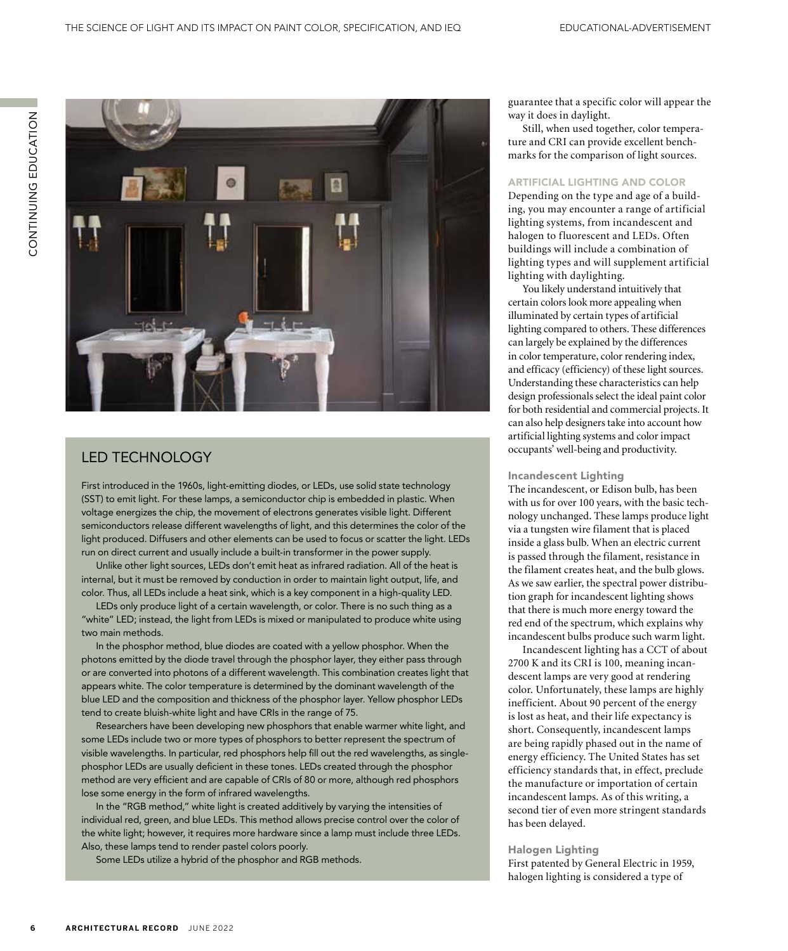

## LED TECHNOLOGY

First introduced in the 1960s, light-emitting diodes, or LEDs, use solid state technology (SST) to emit light. For these lamps, a semiconductor chip is embedded in plastic. When voltage energizes the chip, the movement of electrons generates visible light. Different semiconductors release different wavelengths of light, and this determines the color of the light produced. Diffusers and other elements can be used to focus or scatter the light. LEDs run on direct current and usually include a built-in transformer in the power supply.

Unlike other light sources, LEDs don't emit heat as infrared radiation. All of the heat is internal, but it must be removed by conduction in order to maintain light output, life, and color. Thus, all LEDs include a heat sink, which is a key component in a high-quality LED.

LEDs only produce light of a certain wavelength, or color. There is no such thing as a "white" LED; instead, the light from LEDs is mixed or manipulated to produce white using two main methods.

In the phosphor method, blue diodes are coated with a yellow phosphor. When the photons emitted by the diode travel through the phosphor layer, they either pass through or are converted into photons of a different wavelength. This combination creates light that appears white. The color temperature is determined by the dominant wavelength of the blue LED and the composition and thickness of the phosphor layer. Yellow phosphor LEDs tend to create bluish-white light and have CRIs in the range of 75.

Researchers have been developing new phosphors that enable warmer white light, and some LEDs include two or more types of phosphors to better represent the spectrum of visible wavelengths. In particular, red phosphors help fill out the red wavelengths, as singlephosphor LEDs are usually deficient in these tones. LEDs created through the phosphor method are very efficient and are capable of CRIs of 80 or more, although red phosphors lose some energy in the form of infrared wavelengths.

In the "RGB method," white light is created additively by varying the intensities of individual red, green, and blue LEDs. This method allows precise control over the color of the white light; however, it requires more hardware since a lamp must include three LEDs. Also, these lamps tend to render pastel colors poorly.

Some LEDs utilize a hybrid of the phosphor and RGB methods.

guarantee that a specific color will appear the way it does in daylight.

Still, when used together, color temperature and CRI can provide excellent benchmarks for the comparison of light sources.

#### ARTIFICIAL LIGHTING AND COLOR

Depending on the type and age of a building, you may encounter a range of artificial lighting systems, from incandescent and halogen to fluorescent and LEDs. Often buildings will include a combination of lighting types and will supplement artificial lighting with daylighting.

You likely understand intuitively that certain colors look more appealing when illuminated by certain types of artificial lighting compared to others. These differences can largely be explained by the differences in color temperature, color rendering index, and efficacy (efficiency) of these light sources. Understanding these characteristics can help design professionals select the ideal paint color for both residential and commercial projects. It can also help designers take into account how artificial lighting systems and color impact occupants' well-being and productivity.

#### Incandescent Lighting

The incandescent, or Edison bulb, has been with us for over 100 years, with the basic technology unchanged. These lamps produce light via a tungsten wire filament that is placed inside a glass bulb. When an electric current is passed through the filament, resistance in the filament creates heat, and the bulb glows. As we saw earlier, the spectral power distribution graph for incandescent lighting shows that there is much more energy toward the red end of the spectrum, which explains why incandescent bulbs produce such warm light.

Incandescent lighting has a CCT of about 2700 K and its CRI is 100, meaning incandescent lamps are very good at rendering color. Unfortunately, these lamps are highly inefficient. About 90 percent of the energy is lost as heat, and their life expectancy is short. Consequently, incandescent lamps are being rapidly phased out in the name of energy efficiency. The United States has set efficiency standards that, in effect, preclude the manufacture or importation of certain incandescent lamps. As of this writing, a second tier of even more stringent standards has been delayed.

#### Halogen Lighting

First patented by General Electric in 1959, halogen lighting is considered a type of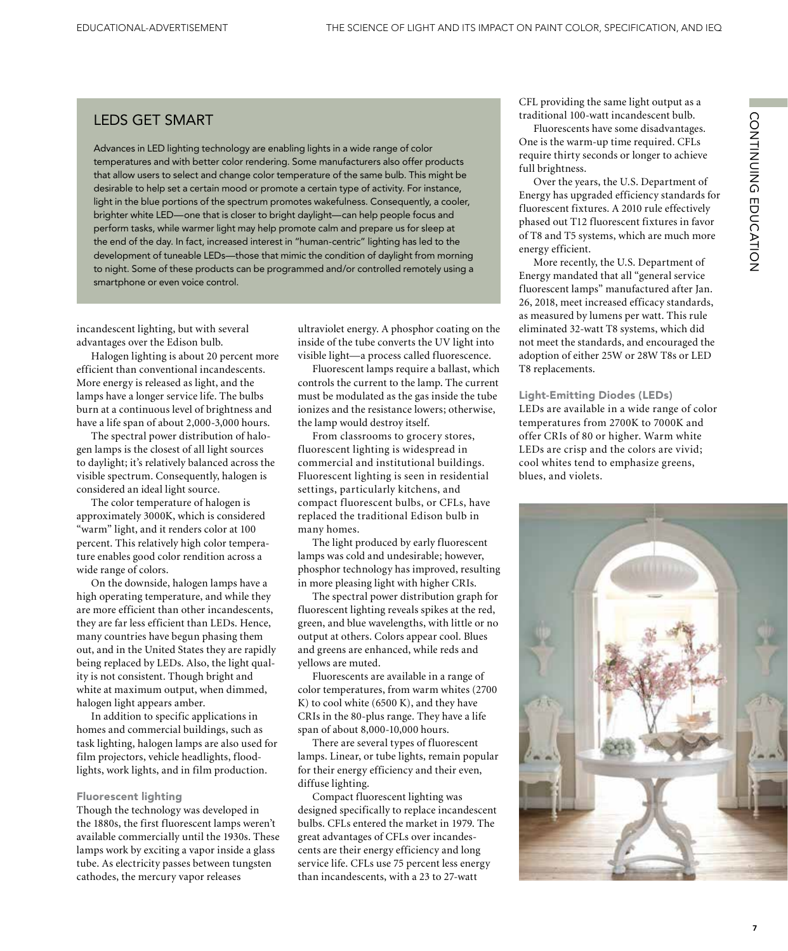### LEDS GET SMART

Advances in LED lighting technology are enabling lights in a wide range of color temperatures and with better color rendering. Some manufacturers also offer products that allow users to select and change color temperature of the same bulb. This might be desirable to help set a certain mood or promote a certain type of activity. For instance, light in the blue portions of the spectrum promotes wakefulness. Consequently, a cooler, brighter white LED—one that is closer to bright daylight—can help people focus and perform tasks, while warmer light may help promote calm and prepare us for sleep at the end of the day. In fact, increased interest in "human-centric" lighting has led to the development of tuneable LEDs—those that mimic the condition of daylight from morning to night. Some of these products can be programmed and/or controlled remotely using a smartphone or even voice control.

incandescent lighting, but with several advantages over the Edison bulb.

Halogen lighting is about 20 percent more efficient than conventional incandescents. More energy is released as light, and the lamps have a longer service life. The bulbs burn at a continuous level of brightness and have a life span of about 2,000-3,000 hours.

The spectral power distribution of halogen lamps is the closest of all light sources to daylight; it's relatively balanced across the visible spectrum. Consequently, halogen is considered an ideal light source.

The color temperature of halogen is approximately 3000K, which is considered "warm" light, and it renders color at 100 percent. This relatively high color temperature enables good color rendition across a wide range of colors.

On the downside, halogen lamps have a high operating temperature, and while they are more efficient than other incandescents, they are far less efficient than LEDs. Hence, many countries have begun phasing them out, and in the United States they are rapidly being replaced by LEDs. Also, the light quality is not consistent. Though bright and white at maximum output, when dimmed, halogen light appears amber.

In addition to specific applications in homes and commercial buildings, such as task lighting, halogen lamps are also used for film projectors, vehicle headlights, floodlights, work lights, and in film production.

#### Fluorescent lighting

Though the technology was developed in the 1880s, the first fluorescent lamps weren't available commercially until the 1930s. These lamps work by exciting a vapor inside a glass tube. As electricity passes between tungsten cathodes, the mercury vapor releases

ultraviolet energy. A phosphor coating on the inside of the tube converts the UV light into visible light—a process called fluorescence.

Fluorescent lamps require a ballast, which controls the current to the lamp. The current must be modulated as the gas inside the tube ionizes and the resistance lowers; otherwise, the lamp would destroy itself.

From classrooms to grocery stores, fluorescent lighting is widespread in commercial and institutional buildings. Fluorescent lighting is seen in residential settings, particularly kitchens, and compact fluorescent bulbs, or CFLs, have replaced the traditional Edison bulb in many homes.

The light produced by early fluorescent lamps was cold and undesirable; however, phosphor technology has improved, resulting in more pleasing light with higher CRIs.

The spectral power distribution graph for fluorescent lighting reveals spikes at the red, green, and blue wavelengths, with little or no output at others. Colors appear cool. Blues and greens are enhanced, while reds and yellows are muted.

Fluorescents are available in a range of color temperatures, from warm whites (2700 K) to cool white (6500 K), and they have CRIs in the 80-plus range. They have a life span of about 8,000-10,000 hours.

There are several types of fluorescent lamps. Linear, or tube lights, remain popular for their energy efficiency and their even, diffuse lighting.

Compact fluorescent lighting was designed specifically to replace incandescent bulbs. CFLs entered the market in 1979. The great advantages of CFLs over incandescents are their energy efficiency and long service life. CFLs use 75 percent less energy than incandescents, with a 23 to 27-watt

CFL providing the same light output as a traditional 100-watt incandescent bulb.

Fluorescents have some disadvantages. One is the warm-up time required. CFLs require thirty seconds or longer to achieve full brightness.

Over the years, the U.S. Department of Energy has upgraded efficiency standards for fluorescent fixtures. A 2010 rule effectively phased out T12 fluorescent fixtures in favor of T8 and T5 systems, which are much more energy efficient.

More recently, the U.S. Department of Energy mandated that all "general service fluorescent lamps" manufactured after Jan. 26, 2018, meet increased efficacy standards, as measured by lumens per watt. This rule eliminated 32-watt T8 systems, which did not meet the standards, and encouraged the adoption of either 25W or 28W T8s or LED T8 replacements.

#### Light-Emitting Diodes (LEDs)

LEDs are available in a wide range of color temperatures from 2700K to 7000K and offer CRIs of 80 or higher. Warm white LEDs are crisp and the colors are vivid; cool whites tend to emphasize greens, blues, and violets.

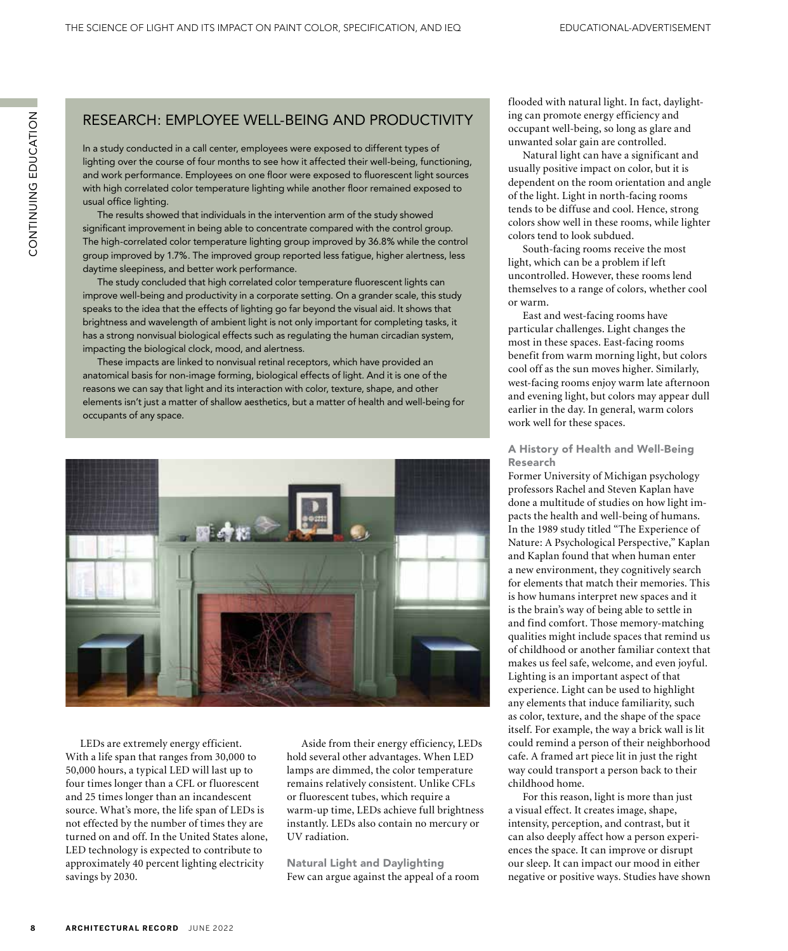## RESEARCH: EMPLOYEE WELL-BEING AND PRODUCTIVITY

In a study conducted in a call center, employees were exposed to different types of lighting over the course of four months to see how it affected their well-being, functioning, and work performance. Employees on one floor were exposed to fluorescent light sources with high correlated color temperature lighting while another floor remained exposed to usual office lighting.

The results showed that individuals in the intervention arm of the study showed significant improvement in being able to concentrate compared with the control group. The high-correlated color temperature lighting group improved by 36.8% while the control group improved by 1.7%. The improved group reported less fatigue, higher alertness, less daytime sleepiness, and better work performance.

The study concluded that high correlated color temperature fluorescent lights can improve well-being and productivity in a corporate setting. On a grander scale, this study speaks to the idea that the effects of lighting go far beyond the visual aid. It shows that brightness and wavelength of ambient light is not only important for completing tasks, it has a strong nonvisual biological effects such as regulating the human circadian system, impacting the biological clock, mood, and alertness.

These impacts are linked to nonvisual retinal receptors, which have provided an anatomical basis for non-image forming, biological effects of light. And it is one of the reasons we can say that light and its interaction with color, texture, shape, and other elements isn't just a matter of shallow aesthetics, but a matter of health and well-being for occupants of any space.



LEDs are extremely energy efficient. With a life span that ranges from 30,000 to 50,000 hours, a typical LED will last up to four times longer than a CFL or fluorescent and 25 times longer than an incandescent source. What's more, the life span of LEDs is not effected by the number of times they are turned on and off. In the United States alone, LED technology is expected to contribute to approximately 40 percent lighting electricity savings by 2030.

Aside from their energy efficiency, LEDs hold several other advantages. When LED lamps are dimmed, the color temperature remains relatively consistent. Unlike CFLs or fluorescent tubes, which require a warm-up time, LEDs achieve full brightness instantly. LEDs also contain no mercury or UV radiation.

Natural Light and Daylighting Few can argue against the appeal of a room flooded with natural light. In fact, daylighting can promote energy efficiency and occupant well-being, so long as glare and unwanted solar gain are controlled.

Natural light can have a significant and usually positive impact on color, but it is dependent on the room orientation and angle of the light. Light in north-facing rooms tends to be diffuse and cool. Hence, strong colors show well in these rooms, while lighter colors tend to look subdued.

South-facing rooms receive the most light, which can be a problem if left uncontrolled. However, these rooms lend themselves to a range of colors, whether cool or warm.

East and west-facing rooms have particular challenges. Light changes the most in these spaces. East-facing rooms benefit from warm morning light, but colors cool off as the sun moves higher. Similarly, west-facing rooms enjoy warm late afternoon and evening light, but colors may appear dull earlier in the day. In general, warm colors work well for these spaces.

#### A History of Health and Well-Being Research

Former University of Michigan psychology professors Rachel and Steven Kaplan have done a multitude of studies on how light impacts the health and well-being of humans. In the 1989 study titled "The Experience of Nature: A Psychological Perspective," Kaplan and Kaplan found that when human enter a new environment, they cognitively search for elements that match their memories. This is how humans interpret new spaces and it is the brain's way of being able to settle in and find comfort. Those memory-matching qualities might include spaces that remind us of childhood or another familiar context that makes us feel safe, welcome, and even joyful. Lighting is an important aspect of that experience. Light can be used to highlight any elements that induce familiarity, such as color, texture, and the shape of the space itself. For example, the way a brick wall is lit could remind a person of their neighborhood cafe. A framed art piece lit in just the right way could transport a person back to their childhood home.

For this reason, light is more than just a visual effect. It creates image, shape, intensity, perception, and contrast, but it can also deeply affect how a person experiences the space. It can improve or disrupt our sleep. It can impact our mood in either negative or positive ways. Studies have shown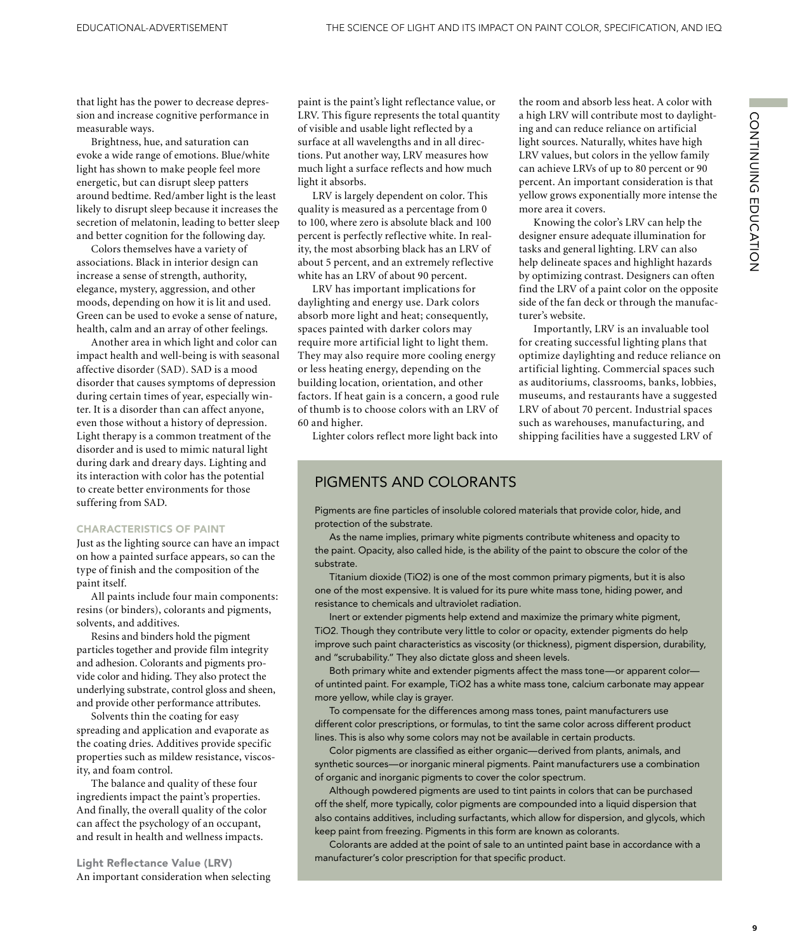that light has the power to decrease depression and increase cognitive performance in measurable ways.

Brightness, hue, and saturation can evoke a wide range of emotions. Blue/white light has shown to make people feel more energetic, but can disrupt sleep patters around bedtime. Red/amber light is the least likely to disrupt sleep because it increases the secretion of melatonin, leading to better sleep and better cognition for the following day.

Colors themselves have a variety of associations. Black in interior design can increase a sense of strength, authority, elegance, mystery, aggression, and other moods, depending on how it is lit and used. Green can be used to evoke a sense of nature, health, calm and an array of other feelings.

Another area in which light and color can impact health and well-being is with seasonal affective disorder (SAD). SAD is a mood disorder that causes symptoms of depression during certain times of year, especially winter. It is a disorder than can affect anyone, even those without a history of depression. Light therapy is a common treatment of the disorder and is used to mimic natural light during dark and dreary days. Lighting and its interaction with color has the potential to create better environments for those suffering from SAD.

#### CHARACTERISTICS OF PAINT

Just as the lighting source can have an impact on how a painted surface appears, so can the type of finish and the composition of the paint itself.

All paints include four main components: resins (or binders), colorants and pigments, solvents, and additives.

Resins and binders hold the pigment particles together and provide film integrity and adhesion. Colorants and pigments provide color and hiding. They also protect the underlying substrate, control gloss and sheen, and provide other performance attributes.

Solvents thin the coating for easy spreading and application and evaporate as the coating dries. Additives provide specific properties such as mildew resistance, viscosity, and foam control.

The balance and quality of these four ingredients impact the paint's properties. And finally, the overall quality of the color can affect the psychology of an occupant, and result in health and wellness impacts.

Light Reflectance Value (LRV) An important consideration when selecting paint is the paint's light reflectance value, or LRV. This figure represents the total quantity of visible and usable light reflected by a surface at all wavelengths and in all directions. Put another way, LRV measures how much light a surface reflects and how much light it absorbs.

LRV is largely dependent on color. This quality is measured as a percentage from 0 to 100, where zero is absolute black and 100 percent is perfectly reflective white. In reality, the most absorbing black has an LRV of about 5 percent, and an extremely reflective white has an LRV of about 90 percent.

LRV has important implications for daylighting and energy use. Dark colors absorb more light and heat; consequently, spaces painted with darker colors may require more artificial light to light them. They may also require more cooling energy or less heating energy, depending on the building location, orientation, and other factors. If heat gain is a concern, a good rule of thumb is to choose colors with an LRV of 60 and higher.

Lighter colors reflect more light back into

## PIGMENTS AND COLORANTS

the room and absorb less heat. A color with a high LRV will contribute most to daylighting and can reduce reliance on artificial light sources. Naturally, whites have high LRV values, but colors in the yellow family can achieve LRVs of up to 80 percent or 90 percent. An important consideration is that yellow grows exponentially more intense the more area it covers.

Knowing the color's LRV can help the designer ensure adequate illumination for tasks and general lighting. LRV can also help delineate spaces and highlight hazards by optimizing contrast. Designers can often find the LRV of a paint color on the opposite side of the fan deck or through the manufacturer's website.

Importantly, LRV is an invaluable tool for creating successful lighting plans that optimize daylighting and reduce reliance on artificial lighting. Commercial spaces such as auditoriums, classrooms, banks, lobbies, museums, and restaurants have a suggested LRV of about 70 percent. Industrial spaces such as warehouses, manufacturing, and shipping facilities have a suggested LRV of

Pigments are fine particles of insoluble colored materials that provide color, hide, and protection of the substrate.

As the name implies, primary white pigments contribute whiteness and opacity to the paint. Opacity, also called hide, is the ability of the paint to obscure the color of the substrate.

Titanium dioxide (TiO2) is one of the most common primary pigments, but it is also one of the most expensive. It is valued for its pure white mass tone, hiding power, and resistance to chemicals and ultraviolet radiation.

Inert or extender pigments help extend and maximize the primary white pigment, TiO2. Though they contribute very little to color or opacity, extender pigments do help improve such paint characteristics as viscosity (or thickness), pigment dispersion, durability, and "scrubability." They also dictate gloss and sheen levels.

Both primary white and extender pigments affect the mass tone—or apparent color of untinted paint. For example, TiO2 has a white mass tone, calcium carbonate may appear more yellow, while clay is grayer.

To compensate for the differences among mass tones, paint manufacturers use different color prescriptions, or formulas, to tint the same color across different product lines. This is also why some colors may not be available in certain products.

Color pigments are classified as either organic—derived from plants, animals, and synthetic sources—or inorganic mineral pigments. Paint manufacturers use a combination of organic and inorganic pigments to cover the color spectrum.

Although powdered pigments are used to tint paints in colors that can be purchased off the shelf, more typically, color pigments are compounded into a liquid dispersion that also contains additives, including surfactants, which allow for dispersion, and glycols, which keep paint from freezing. Pigments in this form are known as colorants.

Colorants are added at the point of sale to an untinted paint base in accordance with a manufacturer's color prescription for that specific product.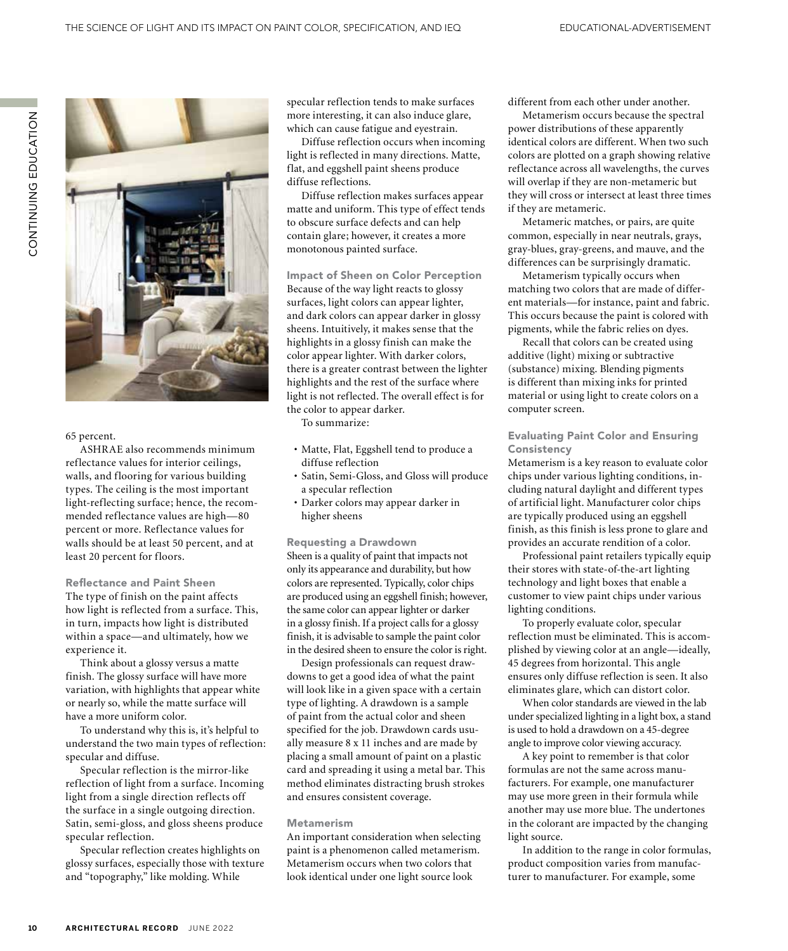

#### 65 percent.

ASHRAE also recommends minimum reflectance values for interior ceilings, walls, and flooring for various building types. The ceiling is the most important light-reflecting surface; hence, the recommended reflectance values are high—80 percent or more. Reflectance values for walls should be at least 50 percent, and at least 20 percent for floors.

#### Reflectance and Paint Sheen

The type of finish on the paint affects how light is reflected from a surface. This, in turn, impacts how light is distributed within a space—and ultimately, how we experience it.

Think about a glossy versus a matte finish. The glossy surface will have more variation, with highlights that appear white or nearly so, while the matte surface will have a more uniform color.

To understand why this is, it's helpful to understand the two main types of reflection: specular and diffuse.

Specular reflection is the mirror-like reflection of light from a surface. Incoming light from a single direction reflects off the surface in a single outgoing direction. Satin, semi-gloss, and gloss sheens produce specular reflection.

Specular reflection creates highlights on glossy surfaces, especially those with texture and "topography," like molding. While

specular reflection tends to make surfaces more interesting, it can also induce glare, which can cause fatigue and eyestrain.

Diffuse reflection occurs when incoming light is reflected in many directions. Matte, flat, and eggshell paint sheens produce diffuse reflections.

Diffuse reflection makes surfaces appear matte and uniform. This type of effect tends to obscure surface defects and can help contain glare; however, it creates a more monotonous painted surface.

Impact of Sheen on Color Perception Because of the way light reacts to glossy surfaces, light colors can appear lighter, and dark colors can appear darker in glossy sheens. Intuitively, it makes sense that the highlights in a glossy finish can make the color appear lighter. With darker colors, there is a greater contrast between the lighter highlights and the rest of the surface where light is not reflected. The overall effect is for the color to appear darker.

To summarize:

- Matte, Flat, Eggshell tend to produce a diffuse reflection
- Satin, Semi-Gloss, and Gloss will produce a specular reflection
- Darker colors may appear darker in higher sheens

#### Requesting a Drawdown

Sheen is a quality of paint that impacts not only its appearance and durability, but how colors are represented. Typically, color chips are produced using an eggshell finish; however, the same color can appear lighter or darker in a glossy finish. If a project calls for a glossy finish, it is advisable to sample the paint color in the desired sheen to ensure the color is right.

Design professionals can request drawdowns to get a good idea of what the paint will look like in a given space with a certain type of lighting. A drawdown is a sample of paint from the actual color and sheen specified for the job. Drawdown cards usually measure 8 x 11 inches and are made by placing a small amount of paint on a plastic card and spreading it using a metal bar. This method eliminates distracting brush strokes and ensures consistent coverage.

#### Metamerism

An important consideration when selecting paint is a phenomenon called metamerism. Metamerism occurs when two colors that look identical under one light source look

different from each other under another.

Metamerism occurs because the spectral power distributions of these apparently identical colors are different. When two such colors are plotted on a graph showing relative reflectance across all wavelengths, the curves will overlap if they are non-metameric but they will cross or intersect at least three times if they are metameric.

Metameric matches, or pairs, are quite common, especially in near neutrals, grays, gray-blues, gray-greens, and mauve, and the differences can be surprisingly dramatic.

Metamerism typically occurs when matching two colors that are made of different materials—for instance, paint and fabric. This occurs because the paint is colored with pigments, while the fabric relies on dyes.

Recall that colors can be created using additive (light) mixing or subtractive (substance) mixing. Blending pigments is different than mixing inks for printed material or using light to create colors on a computer screen.

#### Evaluating Paint Color and Ensuring Consistency

Metamerism is a key reason to evaluate color chips under various lighting conditions, including natural daylight and different types of artificial light. Manufacturer color chips are typically produced using an eggshell finish, as this finish is less prone to glare and provides an accurate rendition of a color.

Professional paint retailers typically equip their stores with state-of-the-art lighting technology and light boxes that enable a customer to view paint chips under various lighting conditions.

To properly evaluate color, specular reflection must be eliminated. This is accomplished by viewing color at an angle—ideally, 45 degrees from horizontal. This angle ensures only diffuse reflection is seen. It also eliminates glare, which can distort color.

When color standards are viewed in the lab under specialized lighting in a light box, a stand is used to hold a drawdown on a 45-degree angle to improve color viewing accuracy.

A key point to remember is that color formulas are not the same across manufacturers. For example, one manufacturer may use more green in their formula while another may use more blue. The undertones in the colorant are impacted by the changing light source.

In addition to the range in color formulas, product composition varies from manufacturer to manufacturer. For example, some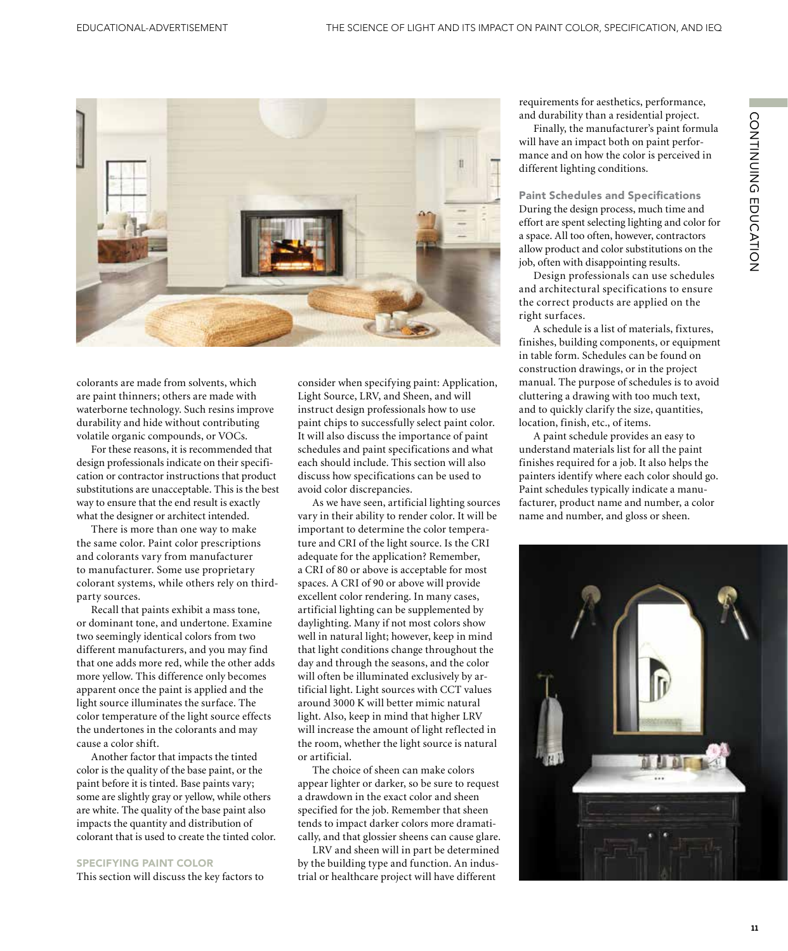

colorants are made from solvents, which are paint thinners; others are made with waterborne technology. Such resins improve durability and hide without contributing volatile organic compounds, or VOCs.

For these reasons, it is recommended that design professionals indicate on their specification or contractor instructions that product substitutions are unacceptable. This is the best way to ensure that the end result is exactly what the designer or architect intended.

There is more than one way to make the same color. Paint color prescriptions and colorants vary from manufacturer to manufacturer. Some use proprietary colorant systems, while others rely on thirdparty sources.

Recall that paints exhibit a mass tone, or dominant tone, and undertone. Examine two seemingly identical colors from two different manufacturers, and you may find that one adds more red, while the other adds more yellow. This difference only becomes apparent once the paint is applied and the light source illuminates the surface. The color temperature of the light source effects the undertones in the colorants and may cause a color shift.

Another factor that impacts the tinted color is the quality of the base paint, or the paint before it is tinted. Base paints vary; some are slightly gray or yellow, while others are white. The quality of the base paint also impacts the quantity and distribution of colorant that is used to create the tinted color.

#### SPECIFYING PAINT COLOR

This section will discuss the key factors to

consider when specifying paint: Application, Light Source, LRV, and Sheen, and will instruct design professionals how to use paint chips to successfully select paint color. It will also discuss the importance of paint schedules and paint specifications and what each should include. This section will also discuss how specifications can be used to avoid color discrepancies.

As we have seen, artificial lighting sources vary in their ability to render color. It will be important to determine the color temperature and CRI of the light source. Is the CRI adequate for the application? Remember, a CRI of 80 or above is acceptable for most spaces. A CRI of 90 or above will provide excellent color rendering. In many cases, artificial lighting can be supplemented by daylighting. Many if not most colors show well in natural light; however, keep in mind that light conditions change throughout the day and through the seasons, and the color will often be illuminated exclusively by artificial light. Light sources with CCT values around 3000 K will better mimic natural light. Also, keep in mind that higher LRV will increase the amount of light reflected in the room, whether the light source is natural or artificial.

The choice of sheen can make colors appear lighter or darker, so be sure to request a drawdown in the exact color and sheen specified for the job. Remember that sheen tends to impact darker colors more dramatically, and that glossier sheens can cause glare.

LRV and sheen will in part be determined by the building type and function. An industrial or healthcare project will have different

requirements for aesthetics, performance, and durability than a residential project.

Finally, the manufacturer's paint formula will have an impact both on paint performance and on how the color is perceived in different lighting conditions.

Paint Schedules and Specifications During the design process, much time and effort are spent selecting lighting and color for a space. All too often, however, contractors allow product and color substitutions on the job, often with disappointing results.

Design professionals can use schedules and architectural specifications to ensure the correct products are applied on the right surfaces.

A schedule is a list of materials, fixtures, finishes, building components, or equipment in table form. Schedules can be found on construction drawings, or in the project manual. The purpose of schedules is to avoid cluttering a drawing with too much text, and to quickly clarify the size, quantities, location, finish, etc., of items.

A paint schedule provides an easy to understand materials list for all the paint finishes required for a job. It also helps the painters identify where each color should go. Paint schedules typically indicate a manufacturer, product name and number, a color name and number, and gloss or sheen.